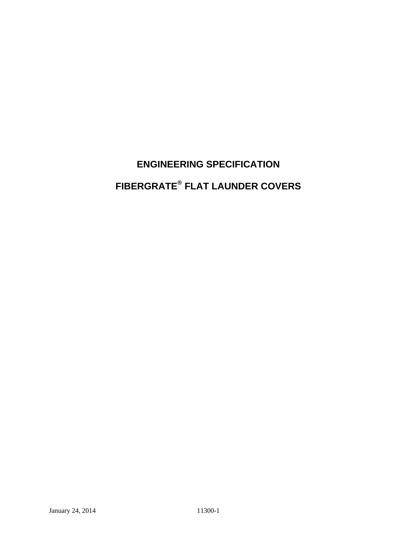# **ENGINEERING SPECIFICATION FIBERGRATE® FLAT LAUNDER COVERS**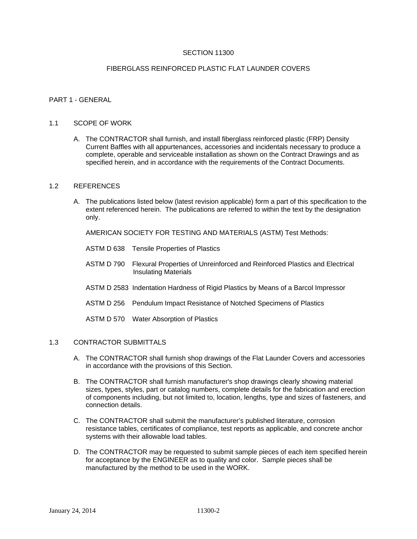# SECTION 11300

# FIBERGLASS REINFORCED PLASTIC FLAT LAUNDER COVERS

#### PART 1 - GENERAL

#### 1.1 SCOPE OF WORK

A. The CONTRACTOR shall furnish, and install fiberglass reinforced plastic (FRP) Density Current Baffles with all appurtenances, accessories and incidentals necessary to produce a complete, operable and serviceable installation as shown on the Contract Drawings and as specified herein, and in accordance with the requirements of the Contract Documents.

#### 1.2 REFERENCES

A. The publications listed below (latest revision applicable) form a part of this specification to the extent referenced herein. The publications are referred to within the text by the designation only.

AMERICAN SOCIETY FOR TESTING AND MATERIALS (ASTM) Test Methods:

- ASTM D 638 Tensile Properties of Plastics
- ASTM D 790 Flexural Properties of Unreinforced and Reinforced Plastics and Electrical Insulating Materials
- ASTM D 2583 Indentation Hardness of Rigid Plastics by Means of a Barcol Impressor
- ASTM D 256 Pendulum Impact Resistance of Notched Specimens of Plastics
- ASTM D 570 Water Absorption of Plastics

#### 1.3 CONTRACTOR SUBMITTALS

- A. The CONTRACTOR shall furnish shop drawings of the Flat Launder Covers and accessories in accordance with the provisions of this Section.
- B. The CONTRACTOR shall furnish manufacturer's shop drawings clearly showing material sizes, types, styles, part or catalog numbers, complete details for the fabrication and erection of components including, but not limited to, location, lengths, type and sizes of fasteners, and connection details.
- C. The CONTRACTOR shall submit the manufacturer's published literature, corrosion resistance tables, certificates of compliance, test reports as applicable, and concrete anchor systems with their allowable load tables.
- D. The CONTRACTOR may be requested to submit sample pieces of each item specified herein for acceptance by the ENGINEER as to quality and color. Sample pieces shall be manufactured by the method to be used in the WORK.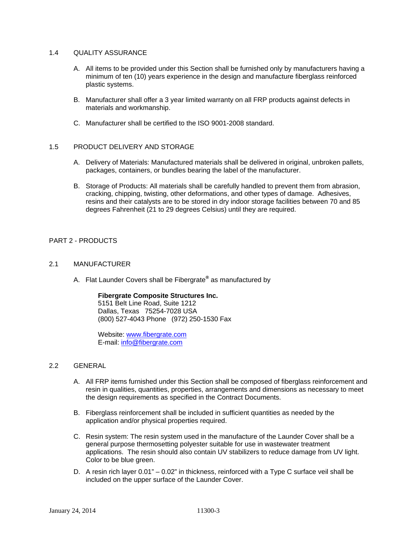# 1.4 QUALITY ASSURANCE

- A. All items to be provided under this Section shall be furnished only by manufacturers having a minimum of ten (10) years experience in the design and manufacture fiberglass reinforced plastic systems.
- B. Manufacturer shall offer a 3 year limited warranty on all FRP products against defects in materials and workmanship.
- C. Manufacturer shall be certified to the ISO 9001-2008 standard.

# 1.5 PRODUCT DELIVERY AND STORAGE

- A. Delivery of Materials: Manufactured materials shall be delivered in original, unbroken pallets, packages, containers, or bundles bearing the label of the manufacturer.
- B. Storage of Products: All materials shall be carefully handled to prevent them from abrasion, cracking, chipping, twisting, other deformations, and other types of damage. Adhesives, resins and their catalysts are to be stored in dry indoor storage facilities between 70 and 85 degrees Fahrenheit (21 to 29 degrees Celsius) until they are required.

# PART 2 - PRODUCTS

# 2.1 MANUFACTURER

A. Flat Launder Covers shall be Fibergrate**®** as manufactured by

## **Fibergrate Composite Structures Inc.**

5151 Belt Line Road, Suite 1212 Dallas, Texas 75254-7028 USA (800) 527-4043 Phone (972) 250-1530 Fax

Website: www.fibergrate.com E-mail: info@fibergrate.com

## 2.2 GENERAL

- A. All FRP items furnished under this Section shall be composed of fiberglass reinforcement and resin in qualities, quantities, properties, arrangements and dimensions as necessary to meet the design requirements as specified in the Contract Documents.
- B. Fiberglass reinforcement shall be included in sufficient quantities as needed by the application and/or physical properties required.
- C. Resin system: The resin system used in the manufacture of the Launder Cover shall be a general purpose thermosetting polyester suitable for use in wastewater treatment applications. The resin should also contain UV stabilizers to reduce damage from UV light. Color to be blue green.
- D. A resin rich layer 0.01" 0.02" in thickness, reinforced with a Type C surface veil shall be included on the upper surface of the Launder Cover.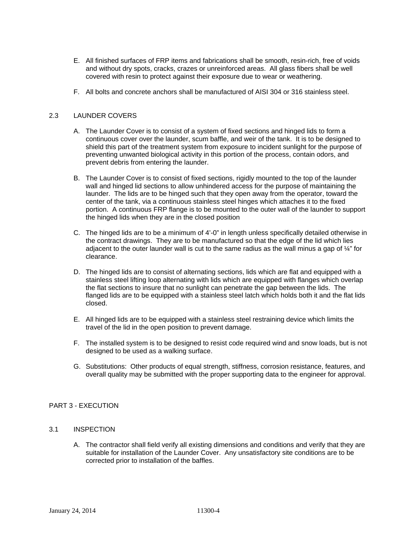- E. All finished surfaces of FRP items and fabrications shall be smooth, resin-rich, free of voids and without dry spots, cracks, crazes or unreinforced areas. All glass fibers shall be well covered with resin to protect against their exposure due to wear or weathering.
- F. All bolts and concrete anchors shall be manufactured of AISI 304 or 316 stainless steel.

# 2.3 LAUNDER COVERS

- A. The Launder Cover is to consist of a system of fixed sections and hinged lids to form a continuous cover over the launder, scum baffle, and weir of the tank. It is to be designed to shield this part of the treatment system from exposure to incident sunlight for the purpose of preventing unwanted biological activity in this portion of the process, contain odors, and prevent debris from entering the launder.
- B. The Launder Cover is to consist of fixed sections, rigidly mounted to the top of the launder wall and hinged lid sections to allow unhindered access for the purpose of maintaining the launder. The lids are to be hinged such that they open away from the operator, toward the center of the tank, via a continuous stainless steel hinges which attaches it to the fixed portion. A continuous FRP flange is to be mounted to the outer wall of the launder to support the hinged lids when they are in the closed position
- C. The hinged lids are to be a minimum of 4'-0" in length unless specifically detailed otherwise in the contract drawings. They are to be manufactured so that the edge of the lid which lies adjacent to the outer launder wall is cut to the same radius as the wall minus a gap of  $\frac{1}{4}$ " for clearance.
- D. The hinged lids are to consist of alternating sections, lids which are flat and equipped with a stainless steel lifting loop alternating with lids which are equipped with flanges which overlap the flat sections to insure that no sunlight can penetrate the gap between the lids. The flanged lids are to be equipped with a stainless steel latch which holds both it and the flat lids closed.
- E. All hinged lids are to be equipped with a stainless steel restraining device which limits the travel of the lid in the open position to prevent damage.
- F. The installed system is to be designed to resist code required wind and snow loads, but is not designed to be used as a walking surface.
- G. Substitutions: Other products of equal strength, stiffness, corrosion resistance, features, and overall quality may be submitted with the proper supporting data to the engineer for approval.

## PART 3 - EXECUTION

## 3.1 INSPECTION

A. The contractor shall field verify all existing dimensions and conditions and verify that they are suitable for installation of the Launder Cover. Any unsatisfactory site conditions are to be corrected prior to installation of the baffles.